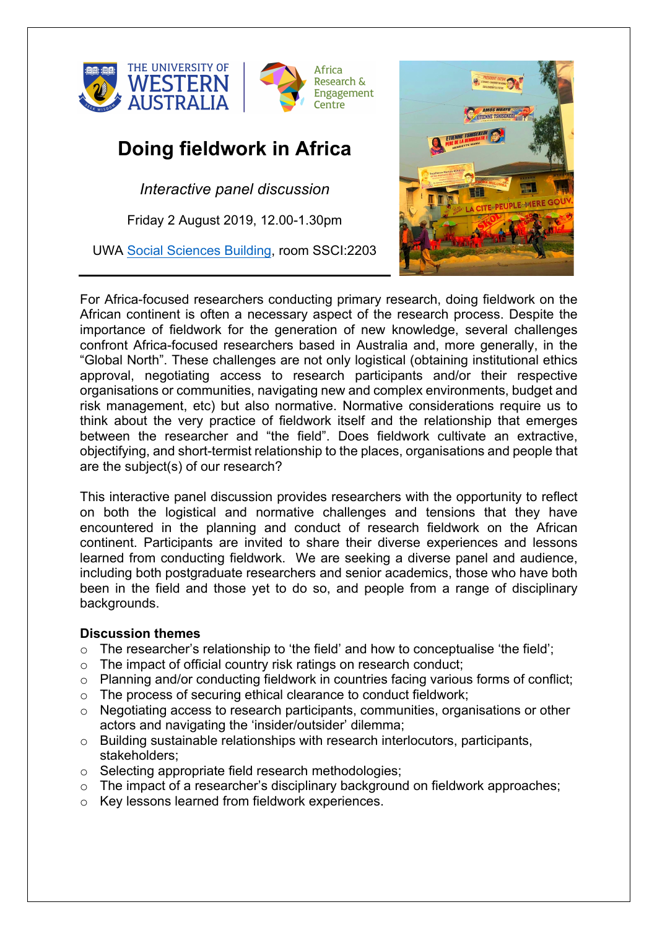

## **Doing fieldwork in Africa**

*Interactive panel discussion* 

Friday 2 August 2019, 12.00-1.30pm

UWA Social Sciences Building, room SSCI:2203



For Africa-focused researchers conducting primary research, doing fieldwork on the African continent is often a necessary aspect of the research process. Despite the importance of fieldwork for the generation of new knowledge, several challenges confront Africa-focused researchers based in Australia and, more generally, in the "Global North". These challenges are not only logistical (obtaining institutional ethics approval, negotiating access to research participants and/or their respective organisations or communities, navigating new and complex environments, budget and risk management, etc) but also normative. Normative considerations require us to think about the very practice of fieldwork itself and the relationship that emerges between the researcher and "the field". Does fieldwork cultivate an extractive, objectifying, and short-termist relationship to the places, organisations and people that are the subject(s) of our research?

This interactive panel discussion provides researchers with the opportunity to reflect on both the logistical and normative challenges and tensions that they have encountered in the planning and conduct of research fieldwork on the African continent. Participants are invited to share their diverse experiences and lessons learned from conducting fieldwork. We are seeking a diverse panel and audience, including both postgraduate researchers and senior academics, those who have both been in the field and those yet to do so, and people from a range of disciplinary backgrounds.

## **Discussion themes**

- $\circ$  The researcher's relationship to 'the field' and how to conceptualise 'the field';
- o The impact of official country risk ratings on research conduct;
- o Planning and/or conducting fieldwork in countries facing various forms of conflict;
- o The process of securing ethical clearance to conduct fieldwork;
- o Negotiating access to research participants, communities, organisations or other actors and navigating the 'insider/outsider' dilemma;
- o Building sustainable relationships with research interlocutors, participants, stakeholders;
- o Selecting appropriate field research methodologies;
- $\circ$  The impact of a researcher's disciplinary background on fieldwork approaches;
- o Key lessons learned from fieldwork experiences.